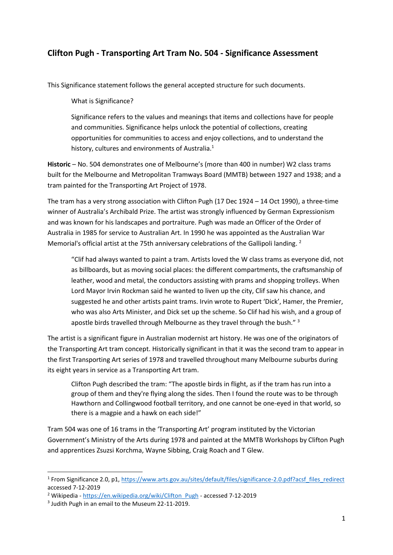## **Clifton Pugh - Transporting Art Tram No. 504 - Significance Assessment**

This Significance statement follows the general accepted structure for such documents.

What is Significance?

Significance refers to the values and meanings that items and collections have for people and communities. Significance helps unlock the potential of collections, creating opportunities for communities to access and enjoy collections, and to understand the history, cultures and environments of Australia.<sup>1</sup>

**Historic** – No. 504 demonstrates one of Melbourne's (more than 400 in number) W2 class trams built for the Melbourne and Metropolitan Tramways Board (MMTB) between 1927 and 1938; and a tram painted for the Transporting Art Project of 1978.

The tram has a very strong association with Clifton Pugh (17 Dec 1924 – 14 Oct 1990), a three-time winner of Australia's Archibald Prize. The artist was strongly influenced by German Expressionism and was known for his landscapes and portraiture. Pugh was made an Officer of the Order of Australia in 1985 for service to Australian Art. In 1990 he was appointed as the Australian War Memorial's official artist at the 75th anniversary celebrations of the Gallipoli landing.<sup>2</sup>

"Clif had always wanted to paint a tram. Artists loved the W class trams as everyone did, not as billboards, but as moving social places: the different compartments, the craftsmanship of leather, wood and metal, the conductors assisting with prams and shopping trolleys. When Lord Mayor Irvin Rockman said he wanted to liven up the city, Clif saw his chance, and suggested he and other artists paint trams. Irvin wrote to Rupert 'Dick', Hamer, the Premier, who was also Arts Minister, and Dick set up the scheme. So Clif had his wish, and a group of apostle birds travelled through Melbourne as they travel through the bush." 3

The artist is a significant figure in Australian modernist art history. He was one of the originators of the Transporting Art tram concept. Historically significant in that it was the second tram to appear in the first Transporting Art series of 1978 and travelled throughout many Melbourne suburbs during its eight years in service as a Transporting Art tram.

Clifton Pugh described the tram: "The apostle birds in flight, as if the tram has run into a group of them and they're flying along the sides. Then I found the route was to be through Hawthorn and Collingwood football territory, and one cannot be one-eyed in that world, so there is a magpie and a hawk on each side!"

Tram 504 was one of 16 trams in the 'Transporting Art' program instituted by the Victorian Government's Ministry of the Arts during 1978 and painted at the MMTB Workshops by Clifton Pugh and apprentices Zsuzsi Korchma, Wayne Sibbing, Craig Roach and T Glew.

<sup>&</sup>lt;sup>1</sup> From Significance 2.0, p1, [https://www.arts.gov.au/sites/default/files/significance-2.0.pdf?acsf\\_files\\_redirect](https://www.arts.gov.au/sites/default/files/significance-2.0.pdf?acsf_files_redirect) accessed 7-12-2019

<sup>&</sup>lt;sup>2</sup> Wikipedia - [https://en.wikipedia.org/wiki/Clifton\\_Pugh](https://en.wikipedia.org/wiki/Clifton_Pugh) - accessed 7-12-2019

<sup>&</sup>lt;sup>3</sup> Judith Pugh in an email to the Museum 22-11-2019.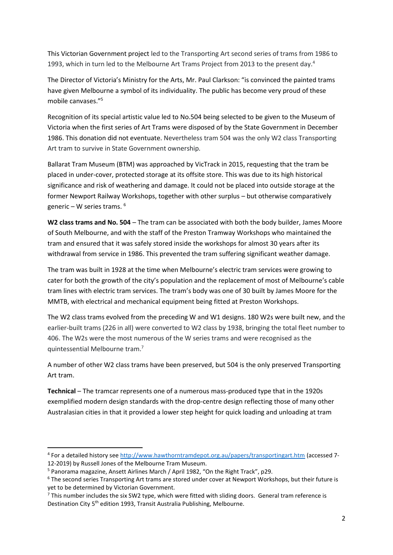This Victorian Government project led to the Transporting Art second series of trams from 1986 to 1993, which in turn led to the Melbourne Art Trams Project from 2013 to the present day.<sup>4</sup>

The Director of Victoria's Ministry for the Arts, Mr. Paul Clarkson: "is convinced the painted trams have given Melbourne a symbol of its individuality. The public has become very proud of these mobile canvases."<sup>5</sup>

Recognition of its special artistic value led to No.504 being selected to be given to the Museum of Victoria when the first series of Art Trams were disposed of by the State Government in December 1986. This donation did not eventuate. Nevertheless tram 504 was the only W2 class Transporting Art tram to survive in State Government ownership*.* 

Ballarat Tram Museum (BTM) was approached by VicTrack in 2015, requesting that the tram be placed in under-cover, protected storage at its offsite store. This was due to its high historical significance and risk of weathering and damage. It could not be placed into outside storage at the former Newport Railway Workshops, together with other surplus – but otherwise comparatively generic – W series trams. <sup>6</sup>

**W2 class trams and No. 504** – The tram can be associated with both the body builder, James Moore of South Melbourne, and with the staff of the Preston Tramway Workshops who maintained the tram and ensured that it was safely stored inside the workshops for almost 30 years after its withdrawal from service in 1986. This prevented the tram suffering significant weather damage.

The tram was built in 1928 at the time when Melbourne's electric tram services were growing to cater for both the growth of the city's population and the replacement of most of Melbourne's cable tram lines with electric tram services. The tram's body was one of 30 built by James Moore for the MMTB, with electrical and mechanical equipment being fitted at Preston Workshops.

The W2 class trams evolved from the preceding W and W1 designs. 180 W2s were built new, and the earlier-built trams (226 in all) were converted to W2 class by 1938, bringing the total fleet number to 406. The W2s were the most numerous of the W series trams and were recognised as the quintessential Melbourne tram.<sup>7</sup>

A number of other W2 class trams have been preserved, but 504 is the only preserved Transporting Art tram.

**Technical** – The tramcar represents one of a numerous mass-produced type that in the 1920s exemplified modern design standards with the drop-centre design reflecting those of many other Australasian cities in that it provided a lower step height for quick loading and unloading at tram

<sup>&</sup>lt;sup>4</sup> For a detailed history see<http://www.hawthorntramdepot.org.au/papers/transportingart.htm> (accessed 7-12-2019) by Russell Jones of the Melbourne Tram Museum.

<sup>5</sup> Panorama magazine, Ansett Airlines March / April 1982, "On the Right Track", p29.

<sup>&</sup>lt;sup>6</sup> The second series Transporting Art trams are stored under cover at Newport Workshops, but their future is yet to be determined by Victorian Government.

 $7$  This number includes the six SW2 type, which were fitted with sliding doors. General tram reference is Destination City 5<sup>th</sup> edition 1993, Transit Australia Publishing, Melbourne.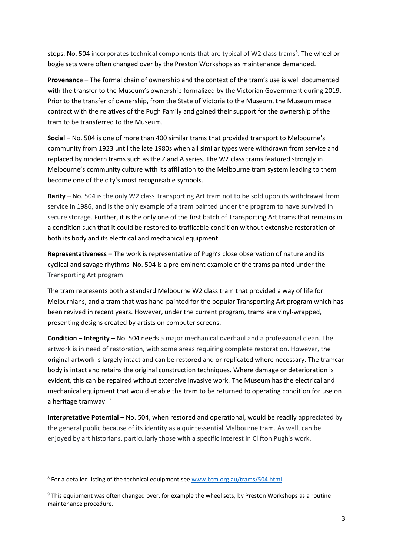stops. No. 504 incorporates technical components that are typical of W2 class trams<sup>8</sup>. The wheel or bogie sets were often changed over by the Preston Workshops as maintenance demanded.

**Provenanc**e – The formal chain of ownership and the context of the tram's use is well documented with the transfer to the Museum's ownership formalized by the Victorian Government during 2019. Prior to the transfer of ownership, from the State of Victoria to the Museum, the Museum made contract with the relatives of the Pugh Family and gained their support for the ownership of the tram to be transferred to the Museum.

**Social** – No. 504 is one of more than 400 similar trams that provided transport to Melbourne's community from 1923 until the late 1980s when all similar types were withdrawn from service and replaced by modern trams such as the Z and A series. The W2 class trams featured strongly in Melbourne's community culture with its affiliation to the Melbourne tram system leading to them become one of the city's most recognisable symbols.

**Rarity** – No. 504 is the only W2 class Transporting Art tram not to be sold upon its withdrawal from service in 1986, and is the only example of a tram painted under the program to have survived in secure storage. Further, it is the only one of the first batch of Transporting Art trams that remains in a condition such that it could be restored to trafficable condition without extensive restoration of both its body and its electrical and mechanical equipment.

**Representativeness** – The work is representative of Pugh's close observation of nature and its cyclical and savage rhythms. No. 504 is a pre-eminent example of the trams painted under the Transporting Art program.

The tram represents both a standard Melbourne W2 class tram that provided a way of life for Melburnians, and a tram that was hand-painted for the popular Transporting Art program which has been revived in recent years. However, under the current program, trams are vinyl-wrapped, presenting designs created by artists on computer screens.

**Condition – Integrity** – No. 504 needs a major mechanical overhaul and a professional clean. The artwork is in need of restoration, with some areas requiring complete restoration. However, the original artwork is largely intact and can be restored and or replicated where necessary. The tramcar body is intact and retains the original construction techniques. Where damage or deterioration is evident, this can be repaired without extensive invasive work. The Museum has the electrical and mechanical equipment that would enable the tram to be returned to operating condition for use on a heritage tramway.<sup>9</sup>

**Interpretative Potential – No. 504, when restored and operational, would be readily appreciated by** the general public because of its identity as a quintessential Melbourne tram. As well, can be enjoyed by art historians, particularly those with a specific interest in Clifton Pugh's work.

<sup>&</sup>lt;sup>8</sup> For a detailed listing of the technical equipment se[e www.btm.org.au/trams/504.html](http://www.btm.org.au/trams/504.html)

<sup>9</sup> This equipment was often changed over, for example the wheel sets, by Preston Workshops as a routine maintenance procedure.